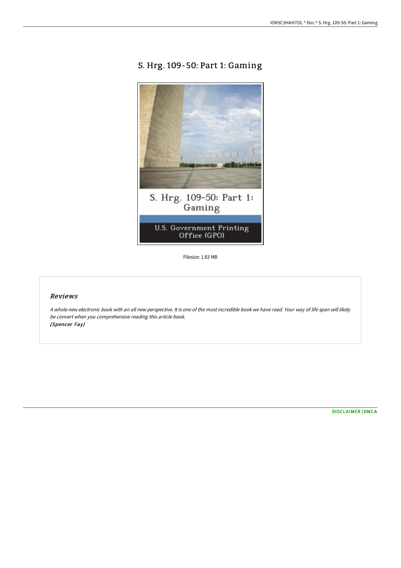# S. Hrg. 109-50: Part 1: Gaming



Filesize: 1.83 MB

## Reviews

A whole new electronic book with an all new perspective. It is one of the most incredible book we have read. Your way of life span will likely be convert when you comprehensive reading this article book. (Spencer Fay)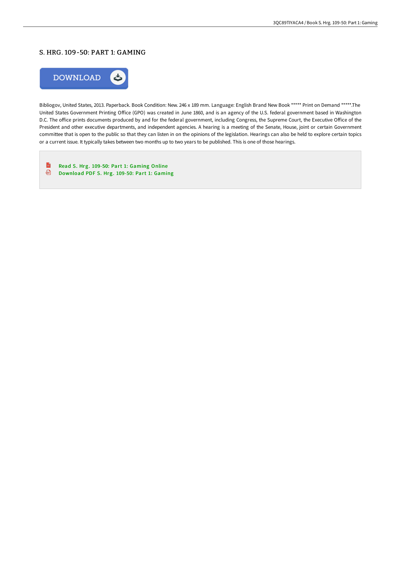## S. HRG. 109-50: PART 1: GAMING



Bibliogov, United States, 2013. Paperback. Book Condition: New. 246 x 189 mm. Language: English Brand New Book \*\*\*\*\* Print on Demand \*\*\*\*\*.The United States Government Printing Office (GPO) was created in June 1860, and is an agency of the U.S. federal government based in Washington D.C. The office prints documents produced by and for the federal government, including Congress, the Supreme Court, the Executive Office of the President and other executive departments, and independent agencies. A hearing is a meeting of the Senate, House, joint or certain Government committee that is open to the public so that they can listen in on the opinions of the legislation. Hearings can also be held to explore certain topics or a current issue. It typically takes between two months up to two years to be published. This is one of those hearings.

 $\mathbb{R}$ Read S. Hrg. 109-50: Part 1: [Gaming](http://albedo.media/s-hrg-109-50-part-1-gaming-paperback.html) Online [Download](http://albedo.media/s-hrg-109-50-part-1-gaming-paperback.html) PDF S. Hrg. 109-50: Part 1: Gaming